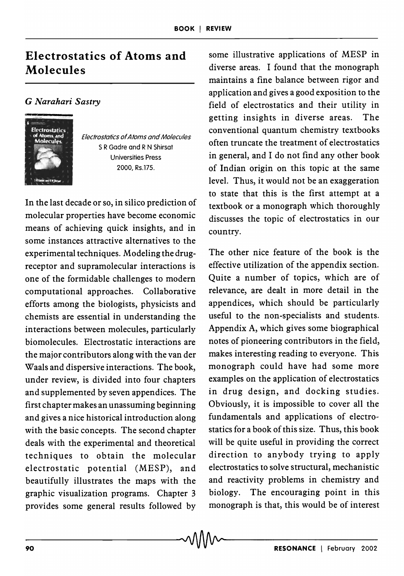## **Electrostatics of Atoms and Molecules**

## G *Narahari Sastry*



Electrostatics of Atoms and Molecules S R Gadre and R N Shirsat Universities Press 2000, RS.175.

In the last decade or so, in silico prediction of molecular properties have become economic means of achieving quick insights, and in some instances attractive alternatives to the experimen tal techniques. Modeling the drugreceptor and supramolecular interactions is one of the formidable challenges to modern computational approaches. Collaborative efforts among the biologists, physicists and chemists are essential in understanding the in teractions between molecules, particularly biomolecules. Electrostatic interactions are the major contributors along with the van der Waals and dispersive interactions. The book, under review, is divided into four chapters and supplemented by seven appendices. The first chapter makes an unassuming beginning and gives a nice historical introduction along with the basic concepts. The second chapter deals with the experimental and theoretical techniques to obtain the molecular electrostatic potential (MESP), and beautifully illustrates the maps with the graphic visualization programs. Chapter 3 provides some general results followed by

some illustrative applications of MESP in diverse areas. I found that the monograph maintains a fine balance between rigor and application and gives a good exposition to the field of electrostatics and their utility in getting insights in diverse areas. The conventional quantum chemistry textbooks often truncate the treatment of electrostatics in general, and I do not find any other book of Indian origin on this topic at the same level. Thus, it would not be an exaggeration to state that this is the first attempt at a textbook or a monograph which thoroughly discusses the topic of electrostatics in our country.

The other nice feature of the book is the effective utilization of the appendix section. Quite a number of topics, which are of relevance, are dealt in more detail in the appendices, which should be particularly useful to the non-specialists and students. Appendix A, which gives some biographical notes of pioneering contributors in the field, makes interesting reading to everyone. This monograph could have had some more examples on the application of electrostatics in drug design, and docking studies. Obviously, it is impossible to cover all the fundamentals and applications of electrostatics for a book of this size. Thus, this book will be quite useful in providing the correct direction to anybody trying to apply electrostatics to solve structural, mechanistic and reactivity problems in chemistry and biology. The encouraging point in this monograph is that, this would be of interest